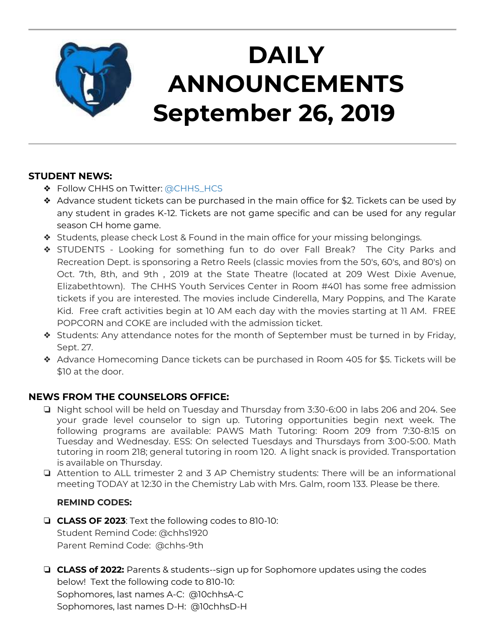

# **DAILY ANNOUNCEMENTS September 26, 2019**

### **STUDENT NEWS:**

- ❖ Follow CHHS on Twitter: [@CHHS\\_HCS](https://twitter.com/CHHS_HCS)
- $\triangleleft$  Advance student tickets can be purchased in the main office for \$2. Tickets can be used by any student in grades K-12. Tickets are not game specific and can be used for any regular season CH home game.
- ❖ Students, please check Lost & Found in the main office for your missing belongings.
- ❖ STUDENTS Looking for something fun to do over Fall Break? The City Parks and Recreation Dept. is sponsoring a Retro Reels (classic movies from the 50's, 60's, and 80's) on Oct. 7th, 8th, and 9th , 2019 at the State Theatre (located at 209 West Dixie Avenue, Elizabethtown). The CHHS Youth Services Center in Room #401 has some free admission tickets if you are interested. The movies include Cinderella, Mary Poppins, and The Karate Kid. Free craft activities begin at 10 AM each day with the movies starting at 11 AM. FREE POPCORN and COKE are included with the admission ticket.
- ❖ Students: Any attendance notes for the month of September must be turned in by Friday, Sept. 27.
- ❖ Advance Homecoming Dance tickets can be purchased in Room 405 for \$5. Tickets will be \$10 at the door.

### **NEWS FROM THE COUNSELORS OFFICE:**

- ❏ Night school will be held on Tuesday and Thursday from 3:30-6:00 in labs 206 and 204. See your grade level counselor to sign up. Tutoring opportunities begin next week. The following programs are available: PAWS Math Tutoring: Room 209 from 7:30-8:15 on Tuesday and Wednesday. ESS: On selected Tuesdays and Thursdays from 3:00-5:00. Math tutoring in room 218; general tutoring in room 120. A light snack is provided. Transportation is available on Thursday.
- ❏ Attention to ALL trimester 2 and 3 AP Chemistry students: There will be an informational meeting TODAY at 12:30 in the Chemistry Lab with Mrs. Galm, room 133. Please be there.

### **REMIND CODES:**

- ❏ **CLASS OF 2023**: Text the following codes to 810-10: Student Remind Code: @chhs1920 Parent Remind Code: @chhs-9th
- ❏ **CLASS of 2022:** Parents & students--sign up for Sophomore updates using the codes below! Text the following code to 810-10: Sophomores, last names A-C: @10chhsA-C Sophomores, last names D-H: @10chhsD-H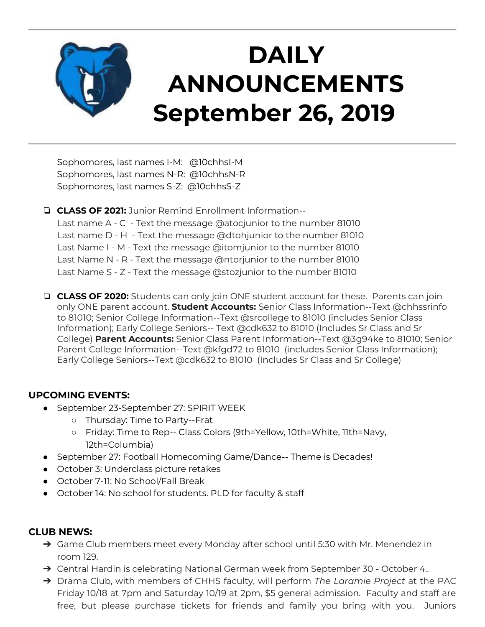

# **DAILY ANNOUNCEMENTS September 26, 2019**

Sophomores, last names I-M: @10chhsI-M Sophomores, last names N-R: @10chhsN-R Sophomores, last names S-Z: @10chhsS-Z

❏ **CLASS OF 2021:** Junior Remind Enrollment Information-- Last name A - C - Text the message @atocjunior to the number 81010 Last name D - H - Text the message @dtohjunior to the number 81010 Last Name I - M - Text the message @itomjunior to the number 81010 Last Name N - R - Text the message @ntorjunior to the number 81010 Last Name S - Z - Text the message @stozjunior to the number 81010

❏ **CLASS OF 2020:** Students can only join ONE student account for these. Parents can join only ONE parent account. **Student Accounts:** Senior Class Information--Text @chhssrinfo to 81010; Senior College Information--Text @srcollege to 81010 (includes Senior Class Information); Early College Seniors-- Text @cdk632 to 81010 (Includes Sr Class and Sr College) **Parent Accounts:** Senior Class Parent Information--Text @3g94ke to 81010; Senior Parent College Information--Text @kfgd72 to 81010 (includes Senior Class Information); Early College Seniors--Text @cdk632 to 81010 (Includes Sr Class and Sr College)

### **UPCOMING EVENTS:**

- September 23-September 27: SPIRIT WEEK
	- Thursday: Time to Party--Frat
	- Friday: Time to Rep-- Class Colors (9th=Yellow, 10th=White, 11th=Navy, 12th=Columbia)
- September 27: Football Homecoming Game/Dance-- Theme is Decades!
- October 3: Underclass picture retakes
- October 7-11: No School/Fall Break
- October 14: No school for students. PLD for faculty & staff

#### **CLUB NEWS:**

- → Game Club members meet every Monday after school until 5:30 with Mr. Menendez in room 129.
- ➔ Central Hardin is celebrating National German week from September 30 October 4..
- ➔ Drama Club, with members of CHHS faculty, will perform *The Laramie Project* at the PAC Friday 10/18 at 7pm and Saturday 10/19 at 2pm, \$5 general admission. Faculty and staff are free, but please purchase tickets for friends and family you bring with you. Juniors